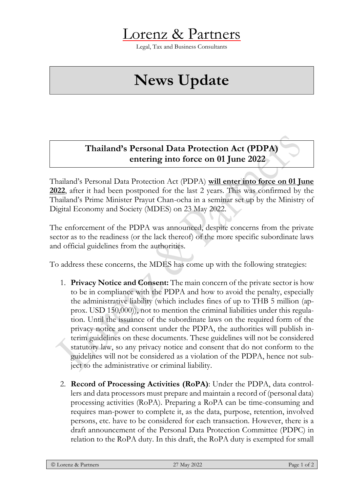

Legal, Tax and Business Consultants

## **News Update**

## **Thailand's Personal Data Protection Act (PDPA) entering into force on 01 June 2022**

Thailand's Personal Data Protection Act (PDPA) **will enter into force on 01 June 2022**, after it had been postponed for the last 2 years. This was confirmed by the Thailand's Prime Minister Prayut Chan-ocha in a seminar set up by the Ministry of Digital Economy and Society (MDES) on 23 May 2022.

The enforcement of the PDPA was announced, despite concerns from the private sector as to the readiness (or the lack thereof) of the more specific subordinate laws and official guidelines from the authorities.

To address these concerns, the MDES has come up with the following strategies:

- 1. **Privacy Notice and Consent:** The main concern of the private sector is how to be in compliance with the PDPA and how to avoid the penalty, especially the administrative liability (which includes fines of up to THB 5 million (approx. USD 150,000)), not to mention the criminal liabilities under this regulation. Until the issuance of the subordinate laws on the required form of the privacy notice and consent under the PDPA, the authorities will publish interim guidelines on these documents. These guidelines will not be considered statutory law, so any privacy notice and consent that do not conform to the guidelines will not be considered as a violation of the PDPA, hence not subject to the administrative or criminal liability.
- 2. **Record of Processing Activities (RoPA)**: Under the PDPA, data controllers and data processors must prepare and maintain a record of (personal data) processing activities (RoPA). Preparing a RoPA can be time-consuming and requires man-power to complete it, as the data, purpose, retention, involved persons, etc. have to be considered for each transaction. However, there is a draft announcement of the Personal Data Protection Committee (PDPC) in relation to the RoPA duty. In this draft, the RoPA duty is exempted for small